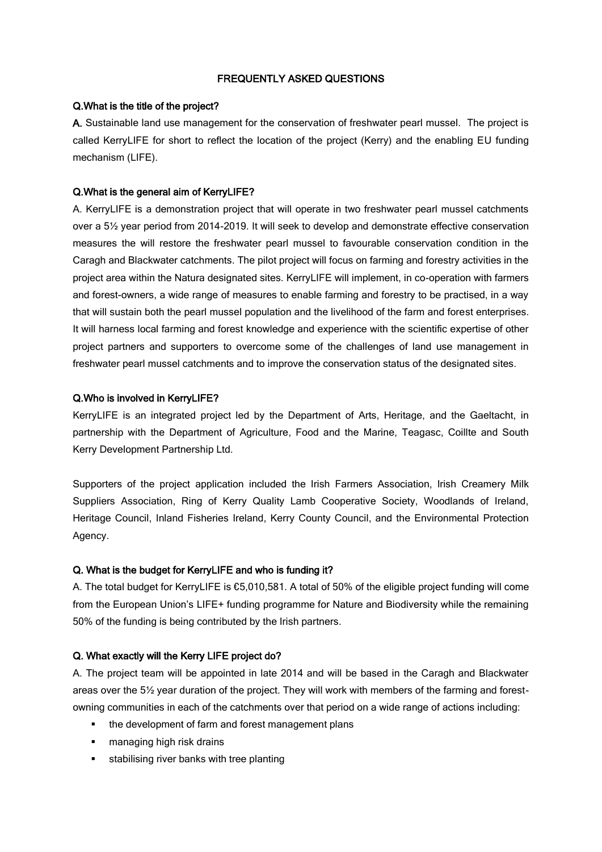## FREQUENTLY ASKED QUESTIONS

#### Q.What is the title of the project?

A. Sustainable land use management for the conservation of freshwater pearl mussel. The project is called KerryLIFE for short to reflect the location of the project (Kerry) and the enabling EU funding mechanism (LIFE).

#### Q.What is the general aim of KerryLIFE?

A. KerryLIFE is a demonstration project that will operate in two freshwater pearl mussel catchments over a 5½ year period from 2014-2019. It will seek to develop and demonstrate effective conservation measures the will restore the freshwater pearl mussel to favourable conservation condition in the Caragh and Blackwater catchments. The pilot project will focus on farming and forestry activities in the project area within the Natura designated sites. KerryLIFE will implement, in co-operation with farmers and forest-owners, a wide range of measures to enable farming and forestry to be practised, in a way that will sustain both the pearl mussel population and the livelihood of the farm and forest enterprises. It will harness local farming and forest knowledge and experience with the scientific expertise of other project partners and supporters to overcome some of the challenges of land use management in freshwater pearl mussel catchments and to improve the conservation status of the designated sites.

#### Q.Who is involved in KerryLIFE?

KerryLIFE is an integrated project led by the Department of Arts, Heritage, and the Gaeltacht, in partnership with the Department of Agriculture, Food and the Marine, Teagasc, Coillte and South Kerry Development Partnership Ltd.

Supporters of the project application included the Irish Farmers Association, Irish Creamery Milk Suppliers Association, Ring of Kerry Quality Lamb Cooperative Society, Woodlands of Ireland, Heritage Council, Inland Fisheries Ireland, Kerry County Council, and the Environmental Protection Agency.

#### Q. What is the budget for KerryLIFE and who is funding it?

A. The total budget for KerryLIFE is €5,010,581. A total of 50% of the eligible project funding will come from the European Union's LIFE+ funding programme for Nature and Biodiversity while the remaining 50% of the funding is being contributed by the Irish partners.

## Q. What exactly will the Kerry LIFE project do?

A. The project team will be appointed in late 2014 and will be based in the Caragh and Blackwater areas over the 5½ year duration of the project. They will work with members of the farming and forestowning communities in each of the catchments over that period on a wide range of actions including:

- the development of farm and forest management plans
- **EXECUTE:** managing high risk drains
- **stabilising river banks with tree planting**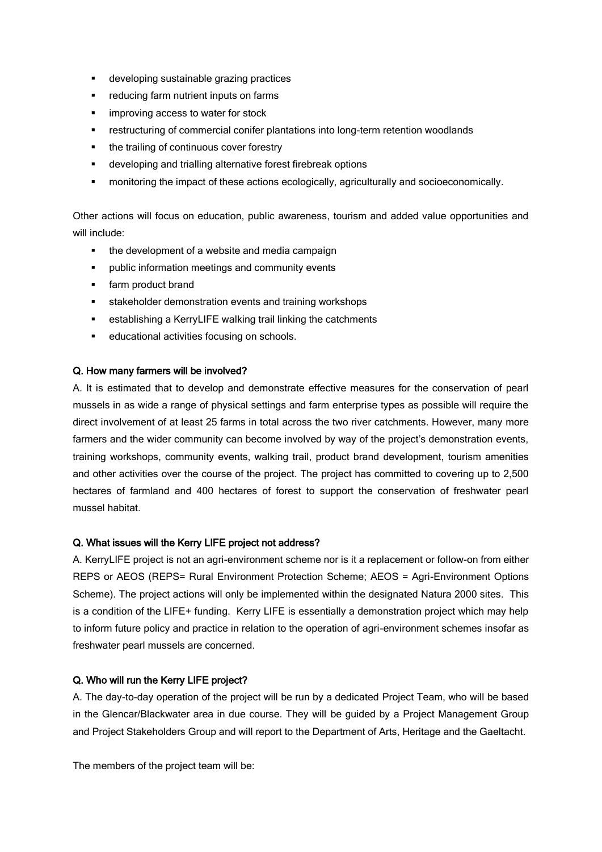- developing sustainable grazing practices
- **F** reducing farm nutrient inputs on farms
- **improving access to water for stock**
- restructuring of commercial conifer plantations into long-term retention woodlands
- the trailing of continuous cover forestry
- developing and trialling alternative forest firebreak options
- monitoring the impact of these actions ecologically, agriculturally and socioeconomically.

Other actions will focus on education, public awareness, tourism and added value opportunities and will include:

- the development of a website and media campaign
- **•** public information meetings and community events
- farm product brand
- **stakeholder demonstration events and training workshops**
- establishing a KerryLIFE walking trail linking the catchments
- **educational activities focusing on schools.**

## Q. How many farmers will be involved?

A. It is estimated that to develop and demonstrate effective measures for the conservation of pearl mussels in as wide a range of physical settings and farm enterprise types as possible will require the direct involvement of at least 25 farms in total across the two river catchments. However, many more farmers and the wider community can become involved by way of the project's demonstration events, training workshops, community events, walking trail, product brand development, tourism amenities and other activities over the course of the project. The project has committed to covering up to 2,500 hectares of farmland and 400 hectares of forest to support the conservation of freshwater pearl mussel habitat.

## Q. What issues will the Kerry LIFE project not address?

A. KerryLIFE project is not an agri-environment scheme nor is it a replacement or follow-on from either REPS or AEOS (REPS= Rural Environment Protection Scheme; AEOS = Agri-Environment Options Scheme). The project actions will only be implemented within the designated Natura 2000 sites. This is a condition of the LIFE+ funding. Kerry LIFE is essentially a demonstration project which may help to inform future policy and practice in relation to the operation of agri-environment schemes insofar as freshwater pearl mussels are concerned.

## Q. Who will run the Kerry LIFE project?

A. The day-to-day operation of the project will be run by a dedicated Project Team, who will be based in the Glencar/Blackwater area in due course. They will be guided by a Project Management Group and Project Stakeholders Group and will report to the Department of Arts, Heritage and the Gaeltacht.

The members of the project team will be: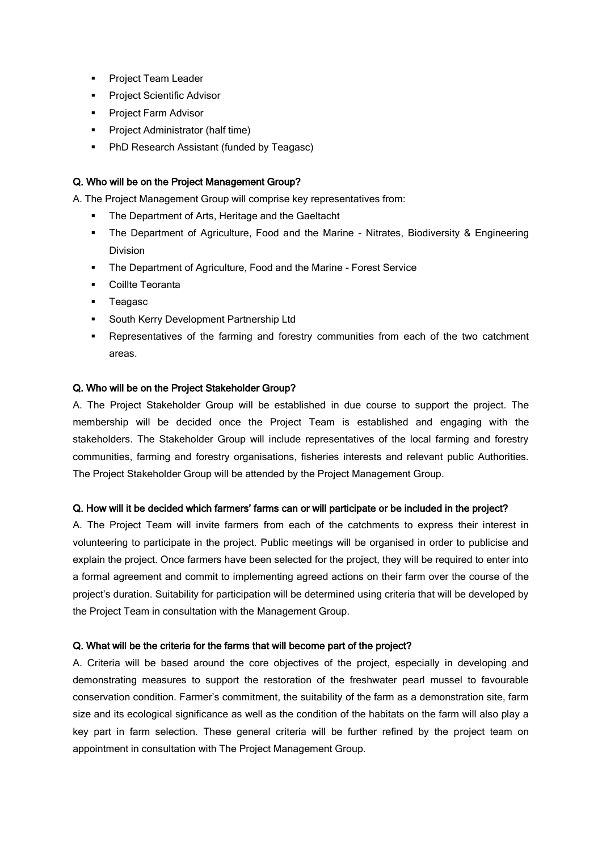- **Project Team Leader**
- **Project Scientific Advisor**
- **Project Farm Advisor**
- **•** Project Administrator (half time)
- **PhD Research Assistant (funded by Teagasc)**

## Q. Who will be on the Project Management Group?

A. The Project Management Group will comprise key representatives from:

- The Department of Arts, Heritage and the Gaeltacht
- The Department of Agriculture, Food and the Marine Nitrates, Biodiversity & Engineering Division
- **The Department of Agriculture, Food and the Marine Forest Service**
- Coillte Teoranta
- **Teagasc**
- South Kerry Development Partnership Ltd
- Representatives of the farming and forestry communities from each of the two catchment areas.

#### Q. Who will be on the Project Stakeholder Group?

A. The Project Stakeholder Group will be established in due course to support the project. The membership will be decided once the Project Team is established and engaging with the stakeholders. The Stakeholder Group will include representatives of the local farming and forestry communities, farming and forestry organisations, fisheries interests and relevant public Authorities. The Project Stakeholder Group will be attended by the Project Management Group.

## Q. How will it be decided which farmers' farms can or will participate or be included in the project?

A. The Project Team will invite farmers from each of the catchments to express their interest in volunteering to participate in the project. Public meetings will be organised in order to publicise and explain the project. Once farmers have been selected for the project, they will be required to enter into a formal agreement and commit to implementing agreed actions on their farm over the course of the project's duration. Suitability for participation will be determined using criteria that will be developed by the Project Team in consultation with the Management Group.

## Q. What will be the criteria for the farms that will become part of the project?

A. Criteria will be based around the core objectives of the project, especially in developing and demonstrating measures to support the restoration of the freshwater pearl mussel to favourable conservation condition. Farmer's commitment, the suitability of the farm as a demonstration site, farm size and its ecological significance as well as the condition of the habitats on the farm will also play a key part in farm selection. These general criteria will be further refined by the project team on appointment in consultation with The Project Management Group.